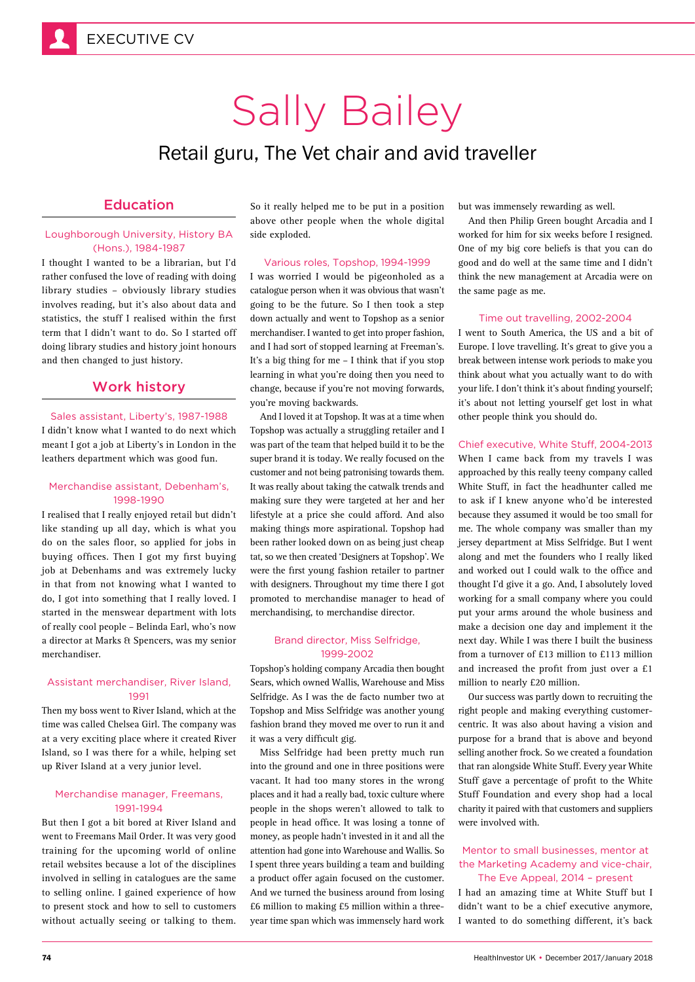# Sally Bailey

# Retail guru, The Vet chair and avid traveller

## Education

#### Loughborough University, History BA (Hons.), 1984-1987

I thought I wanted to be a librarian, but I'd rather confused the love of reading with doing library studies – obviously library studies involves reading, but it's also about data and statistics, the stuff I realised within the first term that I didn't want to do. So I started off doing library studies and history joint honours and then changed to just history.

### Work history

#### Sales assistant, Liberty's, 1987-1988

I didn't know what I wanted to do next which meant I got a job at Liberty's in London in the leathers department which was good fun.

#### Merchandise assistant, Debenham's, 1998-1990

I realised that I really enjoyed retail but didn't like standing up all day, which is what you do on the sales floor, so applied for jobs in buying offices. Then I got my first buying job at Debenhams and was extremely lucky in that from not knowing what I wanted to do, I got into something that I really loved. I started in the menswear department with lots of really cool people – Belinda Earl, who's now a director at Marks & Spencers, was my senior merchandiser.

#### Assistant merchandiser, River Island, 1991

Then my boss went to River Island, which at the time was called Chelsea Girl. The company was at a very exciting place where it created River Island, so I was there for a while, helping set up River Island at a very junior level.

#### Merchandise manager, Freemans, 1991-1994

But then I got a bit bored at River Island and went to Freemans Mail Order. It was very good training for the upcoming world of online retail websites because a lot of the disciplines involved in selling in catalogues are the same to selling online. I gained experience of how to present stock and how to sell to customers without actually seeing or talking to them.

So it really helped me to be put in a position above other people when the whole digital side exploded.

#### Various roles, Topshop, 1994-1999

I was worried I would be pigeonholed as a catalogue person when it was obvious that wasn't going to be the future. So I then took a step down actually and went to Topshop as a senior merchandiser. I wanted to get into proper fashion, and I had sort of stopped learning at Freeman's. It's a big thing for me – I think that if you stop learning in what you're doing then you need to change, because if you're not moving forwards, you're moving backwards.

And I loved it at Topshop. It was at a time when Topshop was actually a struggling retailer and I was part of the team that helped build it to be the super brand it is today. We really focused on the customer and not being patronising towards them. It was really about taking the catwalk trends and making sure they were targeted at her and her lifestyle at a price she could afford. And also making things more aspirational. Topshop had been rather looked down on as being just cheap tat, so we then created 'Designers at Topshop'. We were the first young fashion retailer to partner with designers. Throughout my time there I got promoted to merchandise manager to head of merchandising, to merchandise director.

#### Brand director, Miss Selfridge, 1999-2002

Topshop's holding company Arcadia then bought Sears, which owned Wallis, Warehouse and Miss Selfridge. As I was the de facto number two at Topshop and Miss Selfridge was another young fashion brand they moved me over to run it and it was a very difficult gig.

Miss Selfridge had been pretty much run into the ground and one in three positions were vacant. It had too many stores in the wrong places and it had a really bad, toxic culture where people in the shops weren't allowed to talk to people in head office. It was losing a tonne of money, as people hadn't invested in it and all the attention had gone into Warehouse and Wallis. So I spent three years building a team and building a product offer again focused on the customer. And we turned the business around from losing £6 million to making £5 million within a threeyear time span which was immensely hard work but was immensely rewarding as well.

And then Philip Green bought Arcadia and I worked for him for six weeks before I resigned. One of my big core beliefs is that you can do good and do well at the same time and I didn't think the new management at Arcadia were on the same page as me.

#### Time out travelling, 2002-2004

I went to South America, the US and a bit of Europe. I love travelling. It's great to give you a break between intense work periods to make you think about what you actually want to do with your life. I don't think it's about finding yourself; it's about not letting yourself get lost in what other people think you should do.

#### Chief executive, White Stuff, 2004-2013

When I came back from my travels I was approached by this really teeny company called White Stuff, in fact the headhunter called me to ask if I knew anyone who'd be interested because they assumed it would be too small for me. The whole company was smaller than my jersey department at Miss Selfridge. But I went along and met the founders who I really liked and worked out I could walk to the office and thought I'd give it a go. And, I absolutely loved working for a small company where you could put your arms around the whole business and make a decision one day and implement it the next day. While I was there I built the business from a turnover of £13 million to £113 million and increased the profit from just over a £1 million to nearly £20 million.

Our success was partly down to recruiting the right people and making everything customercentric. It was also about having a vision and purpose for a brand that is above and beyond selling another frock. So we created a foundation that ran alongside White Stuff. Every year White Stuff gave a percentage of profit to the White Stuff Foundation and every shop had a local charity it paired with that customers and suppliers were involved with.

#### Mentor to small businesses, mentor at the Marketing Academy and vice-chair, The Eve Appeal, 2014 – present

I had an amazing time at White Stuff but I didn't want to be a chief executive anymore, I wanted to do something different, it's back